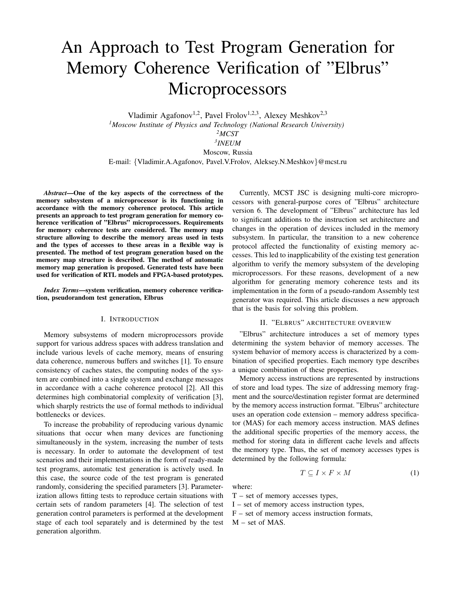# An Approach to Test Program Generation for Memory Coherence Verification of "Elbrus" Microprocessors

Vladimir Agafonov<sup>1,2</sup>, Pavel Frolov<sup>1,2,3</sup>, Alexey Meshkov<sup>2,3</sup> *<sup>1</sup>Moscow Institute of Physics and Technology (National Research University) <sup>2</sup>MCST 3 INEUM* Moscow, Russia E-mail: {Vladimir.A.Agafonov, Pavel.V.Frolov, Aleksey.N.Meshkov}@mcst.ru

*Abstract*—One of the key aspects of the correctness of the memory subsystem of a microprocessor is its functioning in accordance with the memory coherence protocol. This article presents an approach to test program generation for memory coherence verification of "Elbrus" microprocessors. Requirements for memory coherence tests are considered. The memory map structure allowing to describe the memory areas used in tests and the types of accesses to these areas in a flexible way is presented. The method of test program generation based on the memory map structure is described. The method of automatic memory map generation is proposed. Generated tests have been used for verification of RTL models and FPGA-based prototypes.

*Index Terms*—system verification, memory coherence verification, pseudorandom test generation, Elbrus

# I. INTRODUCTION

Memory subsystems of modern microprocessors provide support for various address spaces with address translation and include various levels of cache memory, means of ensuring data coherence, numerous buffers and switches [1]. To ensure consistency of caches states, the computing nodes of the system are combined into a single system and exchange messages in accordance with a cache coherence protocol [2]. All this determines high combinatorial complexity of verification [3], which sharply restricts the use of formal methods to individual bottlenecks or devices.

To increase the probability of reproducing various dynamic situations that occur when many devices are functioning simultaneously in the system, increasing the number of tests is necessary. In order to automate the development of test scenarios and their implementations in the form of ready-made test programs, automatic test generation is actively used. In this case, the source code of the test program is generated randomly, considering the specified parameters [3]. Parameterization allows fitting tests to reproduce certain situations with certain sets of random parameters [4]. The selection of test generation control parameters is performed at the development stage of each tool separately and is determined by the test generation algorithm.

Currently, MCST JSC is designing multi-core microprocessors with general-purpose cores of "Elbrus" architecture version 6. The development of "Elbrus" architecture has led to significant additions to the instruction set architecture and changes in the operation of devices included in the memory subsystem. In particular, the transition to a new coherence protocol affected the functionality of existing memory accesses. This led to inapplicability of the existing test generation algorithm to verify the memory subsystem of the developing microprocessors. For these reasons, development of a new algorithm for generating memory coherence tests and its implementation in the form of a pseudo-random Assembly test generator was required. This article discusses a new approach that is the basis for solving this problem.

### II. "ELBRUS" ARCHITECTURE OVERVIEW

"Elbrus" architecture introduces a set of memory types determining the system behavior of memory accesses. The system behavior of memory access is characterized by a combination of specified properties. Each memory type describes a unique combination of these properties.

Memory access instructions are represented by instructions of store and load types. The size of addressing memory fragment and the source/destination register format are determined by the memory access instruction format. "Elbrus" architecture uses an operation code extension – memory address specificator (MAS) for each memory access instruction. MAS defines the additional specific properties of the memory access, the method for storing data in different cache levels and affects the memory type. Thus, the set of memory accesses types is determined by the following formula:

$$
T \subseteq I \times F \times M \tag{1}
$$

where:

 $T$  – set of memory accesses types,

I – set of memory access instruction types,

 $F$  – set of memory access instruction formats, M – set of MAS.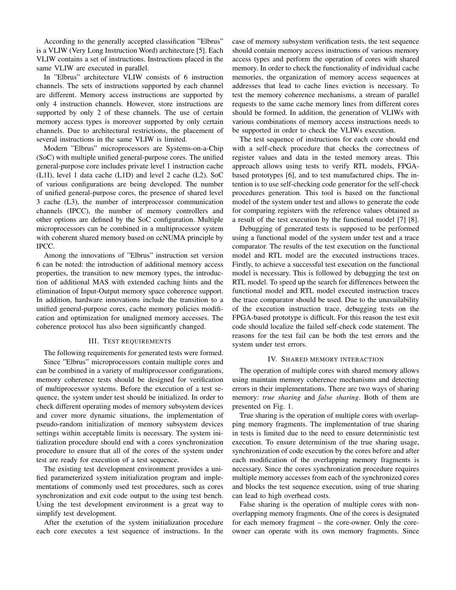According to the generally accepted classification "Elbrus" is a VLIW (Very Long Instruction Word) architecture [5]. Each VLIW contains a set of instructions. Instructions placed in the same VLIW are executed in parallel.

In "Elbrus" architecture VLIW consists of 6 instruction channels. The sets of instructions supported by each channel are different. Memory access instructions are supported by only 4 instruction channels. However, store instructions are supported by only 2 of these channels. The use of certain memory access types is moreover supported by only certain channels. Due to architectural restrictions, the placement of several instructions in the same VLIW is limited.

Modern "Elbrus" microprocessors are Systems-on-a-Chip (SoC) with multiple unified general-purpose cores. The unified general-purpose core includes private level 1 instruction cache (L1I), level 1 data cache (L1D) and level 2 cache (L2). SoC of various configurations are being developed. The number of unified general-purpose cores, the presence of shared level 3 cache (L3), the number of interprocessor communication channels (IPCC), the number of memory controllers and other options are defined by the SoC configuration. Multiple microprocessors can be combined in a multiprocessor system with coherent shared memory based on ccNUMA principle by IPCC.

Among the innovations of "Elbrus" instruction set version 6 can be noted: the introduction of additional memory access properties, the transition to new memory types, the introduction of additional MAS with extended caching hints and the elimination of Input-Output memory space coherence support. In addition, hardware innovations include the transition to a unified general-purpose cores, cache memory policies modification and optimization for unaligned memory accesses. The coherence protocol has also been significantly changed.

# III. TEST REQUIREMENTS

The following requirements for generated tests were formed.

Since "Elbrus" microprocessors contain multiple cores and can be combined in a variety of multiprocessor configurations, memory coherence tests should be designed for verification of multiprocessor systems. Before the execution of a test sequence, the system under test should be initialized. In order to check different operating modes of memory subsystem devices and cover more dynamic situations, the implementation of pseudo-random initialization of memory subsystem devices settings within acceptable limits is necessary. The system initialization procedure should end with a cores synchronization procedure to ensure that all of the cores of the system under test are ready for execution of a test sequence.

The existing test development environment provides a unified parameterized system initialization program and implementations of commonly used test procedures, such as cores synchronization and exit code output to the using test bench. Using the test development environment is a great way to simplify test development.

After the exetution of the system initialization procedure each core executes a test sequence of instructions. In the case of memory subsystem verification tests, the test sequence should contain memory access instructions of various memory access types and perform the operation of cores with shared memory. In order to check the functionality of individual cache memories, the organization of memory access sequences at addresses that lead to cache lines eviction is necessary. To test the memory coherence mechanisms, a stream of parallel requests to the same cache memory lines from different cores should be formed. In addition, the generation of VLIWs with various combinations of memory access instructions needs to be supported in order to check the VLIWs execution.

The test sequence of instructions for each core should end with a self-check procedure that checks the correctness of register values and data in the tested memory areas. This approach allows using tests to verify RTL models, FPGAbased prototypes [6], and to test manufactured chips. The intention is to use self-checking code generator for the self-check procedures generation. This tool is based on the functional model of the system under test and allows to generate the code for comparing registers with the reference values obtained as a result of the test execution by the functional model [7] [8].

Debugging of generated tests is supposed to be performed using a functional model of the system under test and a trace comparator. The results of the test execution on the functional model and RTL model are the executed instructions traces. Firstly, to achieve a successful test execution on the functional model is necessary. This is followed by debugging the test on RTL model. To speed up the search for differences between the functional model and RTL model executed instruction traces the trace comparator should be used. Due to the unavailability of the execution instruction trace, debugging tests on the FPGA-based prototype is difficult. For this reason the test exit code should localize the failed self-check code statement. The reasons for the test fail can be both the test errors and the system under test errors.

#### IV. SHARED MEMORY INTERACTION

The operation of multiple cores with shared memory allows using maintain memory coherence mechanisms and detecting errors in their implementations. There are two ways of sharing memory: *true sharing* and *false sharing*. Both of them are presented on Fig. 1.

True sharing is the operation of multiple cores with overlapping memory fragments. The implementation of true sharing in tests is limited due to the need to ensure deterministic test execution. To ensure determinism of the true sharing usage, synchronization of code execution by the cores before and after each modification of the overlapping memory fragments is necessary. Since the cores synchronization procedure requires multiple memory accesses from each of the synchronized cores and blocks the test sequence execution, using of true sharing can lead to high overhead costs.

False sharing is the operation of multiple cores with nonoverlapping memory fragments. One of the cores is designated for each memory fragment – the core-owner. Only the coreowner can operate with its own memory fragments. Since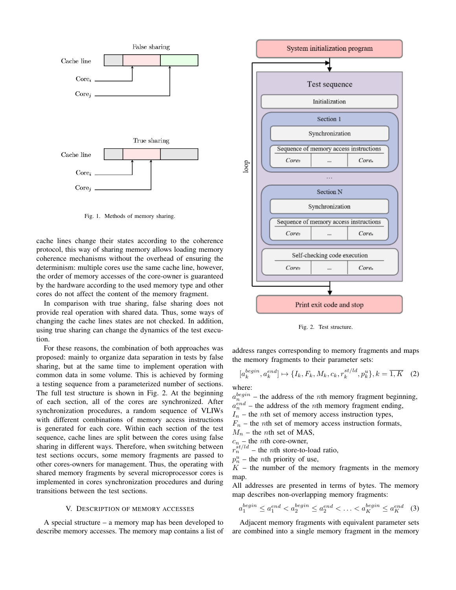

Fig. 1. Methods of memory sharing.

cache lines change their states according to the coherence protocol, this way of sharing memory allows loading memory coherence mechanisms without the overhead of ensuring the determinism: multiple cores use the same cache line, however, the order of memory accesses of the core-owner is guaranteed by the hardware according to the used memory type and other cores do not affect the content of the memory fragment.

In comparison with true sharing, false sharing does not provide real operation with shared data. Thus, some ways of changing the cache lines states are not checked. In addition, using true sharing can change the dynamics of the test execution.

For these reasons, the combination of both approaches was proposed: mainly to organize data separation in tests by false sharing, but at the same time to implement operation with common data in some volume. This is achieved by forming a testing sequence from a parameterized number of sections. The full test structure is shown in Fig. 2. At the beginning of each section, all of the cores are synchronized. After synchronization procedures, a random sequence of VLIWs with different combinations of memory access instructions is generated for each core. Within each section of the test sequence, cache lines are split between the cores using false sharing in different ways. Therefore, when switching between test sections occurs, some memory fragments are passed to other cores-owners for management. Thus, the operating with shared memory fragments by several microprocessor cores is implemented in cores synchronization procedures and during transitions between the test sections.

### V. DESCRIPTION OF MEMORY ACCESSES

A special structure – a memory map has been developed to describe memory accesses. The memory map contains a list of



Fig. 2. Test structure.

address ranges corresponding to memory fragments and maps the memory fragments to their parameter sets:

$$
[a_k^{begin}, a_k^{end}] \mapsto \{I_k, F_k, M_k, c_k, r_k^{st/ld}, p_k^u\}, k = \overline{1, K} \quad (2)
$$

where:

 $a_n^{begin}$  – the address of the *n*th memory fragment beginning,

 $a_n^{end}$  – the address of the *n*th memory fragment ending,  $I_n$  – the *n*th set of memory access instruction types,

 $F_n$  – the *n*th set of memory access instruction formats,

 $M_n$  – the *n*th set of MAS,

 $c_n$  – the *n*th core-owner,

 $r_n^{\frac{st}{dt}}$  – the *n*th store-to-load ratio,

 $p_n^u$  – the *n*th priority of use,

 $K$  – the number of the memory fragments in the memory map.

All addresses are presented in terms of bytes. The memory map describes non-overlapping memory fragments:

$$
a_1^{begin} \le a_1^{end} < a_2^{end} \le a_2^{begin} \le a_2^{end} < \ldots < a_K^{begin} \le a_K^{end} \tag{3}
$$

Adjacent memory fragments with equivalent parameter sets are combined into a single memory fragment in the memory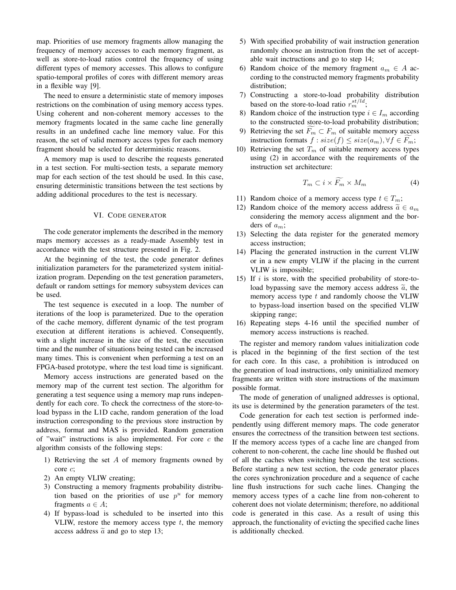map. Priorities of use memory fragments allow managing the frequency of memory accesses to each memory fragment, as well as store-to-load ratios control the frequency of using different types of memory accesses. This allows to configure spatio-temporal profiles of cores with different memory areas in a flexible way [9].

The need to ensure a deterministic state of memory imposes restrictions on the combination of using memory access types. Using coherent and non-coherent memory accesses to the memory fragments located in the same cache line generally results in an undefined cache line memory value. For this reason, the set of valid memory access types for each memory fragment should be selected for deterministic reasons.

A memory map is used to describe the requests generated in a test section. For multi-section tests, a separate memory map for each section of the test should be used. In this case, ensuring deterministic transitions between the test sections by adding additional procedures to the test is necessary.

#### VI. CODE GENERATOR

The code generator implements the described in the memory maps memory accesses as a ready-made Assembly test in accordance with the test structure presented in Fig. 2.

At the beginning of the test, the code generator defines initialization parameters for the parameterized system initialization program. Depending on the test generation parameters, default or random settings for memory subsystem devices can be used.

The test sequence is executed in a loop. The number of iterations of the loop is parameterized. Due to the operation of the cache memory, different dynamic of the test program execution at different iterations is achieved. Consequently, with a slight increase in the size of the test, the execution time and the number of situations being tested can be increased many times. This is convenient when performing a test on an FPGA-based prototype, where the test load time is significant.

Memory access instructions are generated based on the memory map of the current test section. The algorithm for generating a test sequence using a memory map runs independently for each core. To check the correctness of the store-toload bypass in the L1D cache, random generation of the load instruction corresponding to the previous store instruction by address, format and MAS is provided. Random generation of "wait" instructions is also implemented. For core  $c$  the algorithm consists of the following steps:

- 1) Retrieving the set A of memory fragments owned by core c;
- 2) An empty VLIW creating;
- 3) Constructing a memory fragments probability distribution based on the priorities of use  $p^u$  for memory fragments  $a \in A$ ;
- 4) If bypass-load is scheduled to be inserted into this VLIW, restore the memory access type  $t$ , the memory access address  $\tilde{a}$  and go to step 13;
- 5) With specified probability of wait instruction generation randomly choose an instruction from the set of acceptable wait inctructions and go to step 14;
- 6) Random choice of the memory fragment  $a_m \in A$  according to the constructed memory fragments probability distribution;
- 7) Constructing a store-to-load probability distribution based on the store-to-load ratio  $r_m^{st/ld}$ ;
- 8) Random choice of the instruction type  $i \in I_m$  according to the constructed store-to-load probability distribution;
- 9) Retrieving the set  $\overline{F}_m \subset F_m$  of suitable memory access instruction formats  $f : size(f) \leq size(a_m), \forall f \in F_m;$
- 10) Retrieving the set  $T_m$  of suitable memory access types using (2) in accordance with the requirements of the instruction set architecture:

$$
T_m \subset i \times \widetilde{F_m} \times M_m \tag{4}
$$

- 11) Random choice of a memory access type  $t \in T_m$ ;
- 12) Random choice of the memory access address  $\tilde{a} \in a_m$ considering the memory access alignment and the borders of  $a_m$ ;
- 13) Selecting the data register for the generated memory access instruction;
- 14) Placing the generated instruction in the current VLIW or in a new empty VLIW if the placing in the current VLIW is impossible;
- 15) If  $i$  is store, with the specified probability of store-toload bypassing save the memory access address  $\tilde{a}$ , the memory access type  $t$  and randomly choose the VLIW to bypass-load insertion based on the specified VLIW skipping range;
- 16) Repeating steps 4-16 until the specified number of memory access instructions is reached.

The register and memory random values initialization code is placed in the beginning of the first section of the test for each core. In this case, a prohibition is introduced on the generation of load instructions, only uninitialized memory fragments are written with store instructions of the maximum possible format.

The mode of generation of unaligned addresses is optional, its use is determined by the generation parameters of the test.

Code generation for each test section is performed independently using different memory maps. The code generator ensures the correctness of the transition between test sections. If the memory access types of a cache line are changed from coherent to non-coherent, the cache line should be flushed out of all the caches when switching between the test sections. Before starting a new test section, the code generator places the cores synchronization procedure and a sequence of cache line flush instructions for such cache lines. Changing the memory access types of a cache line from non-coherent to coherent does not violate determinism; therefore, no additional code is generated in this case. As a result of using this approach, the functionality of evicting the specified cache lines is additionally checked.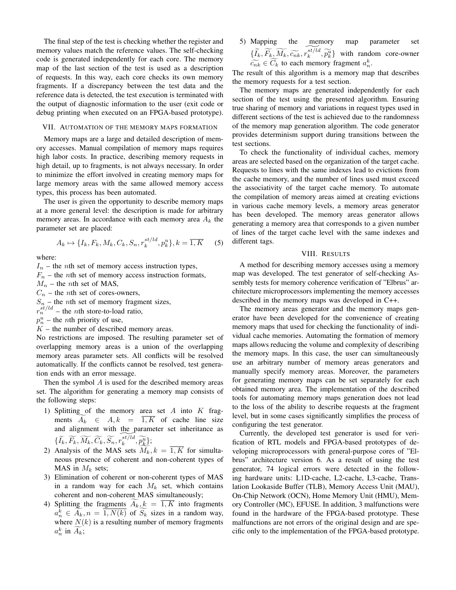The final step of the test is checking whether the register and memory values match the reference values. The self-checking code is generated independently for each core. The memory map of the last section of the test is used as a description of requests. In this way, each core checks its own memory fragments. If a discrepancy between the test data and the reference data is detected, the test execution is terminated with the output of diagnostic information to the user (exit code or debug printing when executed on an FPGA-based prototype).

#### VII. AUTOMATION OF THE MEMORY MAPS FORMATION

Memory maps are a large and detailed description of memory accesses. Manual compilation of memory maps requires high labor costs. In practice, describing memory requests in high detail, up to fragments, is not always necessary. In order to minimize the effort involved in creating memory maps for large memory areas with the same allowed memory access types, this process has been automated.

The user is given the opportunity to describe memory maps at a more general level: the description is made for arbitrary memory areas. In accordance with each memory area  $A_k$  the parameter set are placed:

$$
A_k \mapsto \{I_k, F_k, M_k, C_k, S_n, r_k^{st/ld}, p_k^u\}, k = \overline{1, K} \quad (5)
$$

where:

 $I_n$  – the *n*th set of memory access instruction types,

 $F_n$  – the *n*th set of memory access instruction formats,

 $M_n$  – the *n*th set of MAS,

 $C_n$  – the *n*th set of cores-owners,

 $S_n$  – the *n*th set of memory fragment sizes,

 $r_n^{st/ld}$  – the *n*th store-to-load ratio,

 $p_n^u$  – the *n*th priority of use,

 $K$  – the number of described memory areas.

No restrictions are imposed. The resulting parameter set of overlapping memory areas is a union of the overlapping memory areas parameter sets. All conflicts will be resolved automatically. If the conflicts cannot be resolved, test generation ends with an error message.

Then the symbol  $\vec{A}$  is used for the described memory areas set. The algorithm for generating a memory map consists of the following steps:

- 1) Splitting of the memory area set  $A$  into  $K$  fragments  $A_k \in A, k = \overline{1, K}$  of cache line size and alignment with the parameter set inheritance as  $\{ \widetilde{I_k}, \widetilde{F_k}, \widetilde{M_k}, \widetilde{C_k}, \widetilde{S_n}, \widetilde{r_k^{s t/ld}}, \widetilde{p_k^{u}} \};$
- 2) Analysis of the MAS sets  $M_k, k = \overline{1, K}$  for simultaneous presence of coherent and non-coherent types of MAS in  $M_k$  sets;
- 3) Elimination of coherent or non-coherent types of MAS in a random way for each  $M_k$  set, which contains coherent and non-coherent MAS simultaneously;
- 4) Splitting the fragments  $A_k, k = \overline{1, K}$  into fragments  $a_n^k \in \overline{A_k}, n = \overline{1, N(k)}$  of  $\overline{S_k}$  sizes in a random way, where  $N(k)$  is a resulting number of memory fragments  $a_n^k$  in  $\widetilde{A_k}$ ;

5) Mapping the memory map parameter set<br>  $\{\widetilde{I}_k, \widetilde{F}_k, \widetilde{M}_k, \widetilde{c_{nk}}, \widetilde{r_k^{st}/ld}, \widetilde{p_k^u}\}\}$  with random core-owner  $\widetilde{c_{nk}} \in \widetilde{C_k}$  to each memory fragment  $a_n^k$ .

The result of this algorithm is a memory map that describes the memory requests for a test section.

The memory maps are generated independently for each section of the test using the presented algorithm. Ensuring true sharing of memory and variations in request types used in different sections of the test is achieved due to the randomness of the memory map generation algorithm. The code generator provides determinism support during transitions between the test sections.

To check the functionality of individual caches, memory areas are selected based on the organization of the target cache. Requests to lines with the same indexes lead to evictions from the cache memory, and the number of lines used must exceed the associativity of the target cache memory. To automate the compilation of memory areas aimed at creating evictions in various cache memory levels, a memory areas generator has been developed. The memory areas generator allows generating a memory area that corresponds to a given number of lines of the target cache level with the same indexes and different tags.

# VIII. RESULTS

A method for describing memory accesses using a memory map was developed. The test generator of self-checking Assembly tests for memory coherence verification of "Elbrus" architecture microprocessors implementing the memory accesses described in the memory maps was developed in C++.

The memory areas generator and the memory maps generator have been developed for the convenience of creating memory maps that used for checking the functionality of individual cache memories. Automating the formation of memory maps allows reducing the volume and complexity of describing the memory maps. In this case, the user can simultaneously use an arbitrary number of memory areas generators and manually specify memory areas. Moreover, the parameters for generating memory maps can be set separately for each obtained memory area. The implementation of the described tools for automating memory maps generation does not lead to the loss of the ability to describe requests at the fragment level, but in some cases significantly simplifies the process of configuring the test generator.

Currently, the developed test generator is used for verification of RTL models and FPGA-based prototypes of developing microprocessors with general-purpose cores of "Elbrus" architecture version 6. As a result of using the test generator, 74 logical errors were detected in the following hardware units: L1D-cache, L2-cache, L3-cache, Translation Lookaside Buffer (TLB), Memory Access Unit (MAU), On-Chip Network (OCN), Home Memory Unit (HMU), Memory Controller (MC), EFUSE. In addition, 3 malfunctions were found in the hardware of the FPGA-based prototype. These malfunctions are not errors of the original design and are specific only to the implementation of the FPGA-based prototype.